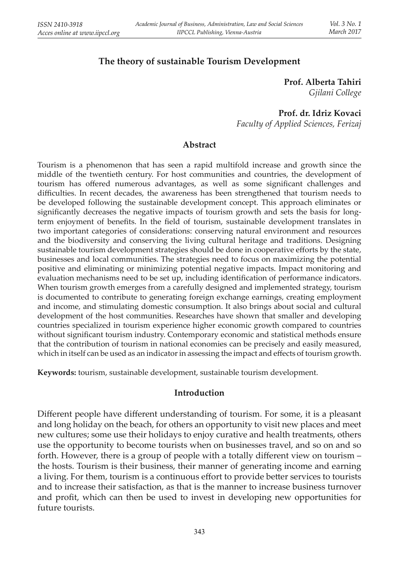# **The theory of sustainable Tourism Development**

**Prof. Alberta Tahiri***Gjilani College*

**Prof. dr. Idriz Kovaci***Faculty of Applied Sciences, Ferizaj*

#### **Abstract**

Tourism is a phenomenon that has seen a rapid multifold increase and growth since the middle of the twentieth century. For host communities and countries, the development of tourism has offered numerous advantages, as well as some significant challenges and difficulties. In recent decades, the awareness has been strengthened that tourism needs to be developed following the sustainable development concept. This approach eliminates or significantly decreases the negative impacts of tourism growth and sets the basis for longterm enjoyment of benefits. In the field of tourism, sustainable development translates in two important categories of considerations: conserving natural environment and resources and the biodiversity and conserving the living cultural heritage and traditions. Designing sustainable tourism development strategies should be done in cooperative efforts by the state, businesses and local communities. The strategies need to focus on maximizing the potential positive and eliminating or minimizing potential negative impacts. Impact monitoring and evaluation mechanisms need to be set up, including identification of performance indicators. When tourism growth emerges from a carefully designed and implemented strategy, tourism is documented to contribute to generating foreign exchange earnings, creating employment and income, and stimulating domestic consumption. It also brings about social and cultural development of the host communities. Researches have shown that smaller and developing countries specialized in tourism experience higher economic growth compared to countries without significant tourism industry. Contemporary economic and statistical methods ensure that the contribution of tourism in national economies can be precisely and easily measured, which in itself can be used as an indicator in assessing the impact and effects of tourism growth.

**Keywords:** tourism, sustainable development, sustainable tourism development.

#### **Introduction**

Different people have different understanding of tourism. For some, it is a pleasant and long holiday on the beach, for others an opportunity to visit new places and meet new cultures; some use their holidays to enjoy curative and health treatments, others use the opportunity to become tourists when on businesses travel, and so on and so forth. However, there is a group of people with a totally different view on tourism  $$ the hosts. Tourism is their business, their manner of generating income and earning a living. For them, tourism is a continuous effort to provide better services to tourists and to increase their satisfaction, as that is the manner to increase business turnover and profit, which can then be used to invest in developing new opportunities for future tourists.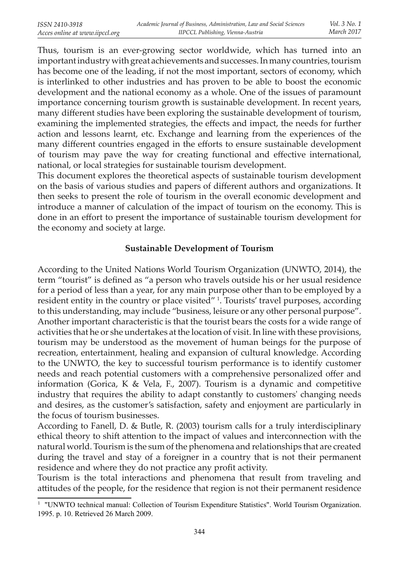Thus, tourism is an ever-growing sector worldwide, which has turned into an important industry with great achievements and successes. In many countries, tourism has become one of the leading, if not the most important, sectors of economy, which is interlinked to other industries and has proven to be able to boost the economic development and the national economy as a whole. One of the issues of paramount importance concerning tourism growth is sustainable development. In recent years, many different studies have been exploring the sustainable development of tourism, examining the implemented strategies, the effects and impact, the needs for further action and lessons learnt, etc. Exchange and learning from the experiences of the many different countries engaged in the efforts to ensure sustainable development of tourism may pave the way for creating functional and effective international, national, or local strategies for sustainable tourism development.

This document explores the theoretical aspects of sustainable tourism development on the basis of various studies and papers of different authors and organizations. It then seeks to present the role of tourism in the overall economic development and introduce a manner of calculation of the impact of tourism on the economy. This is done in an effort to present the importance of sustainable tourism development for the economy and society at large.

## **Sustainable Development of Tourism**

According to the United Nations World Tourism Organization (UNWTO, 2014), the term "tourist" is defined as "a person who travels outside his or her usual residence for a period of less than a year, for any main purpose other than to be employed by a resident entity in the country or place visited"<sup>1</sup>. Tourists' travel purposes, according to this understanding, may include "business, leisure or any other personal purpose". Another important characteristic is that the tourist bears the costs for a wide range of activities that he or she undertakes at the location of visit. In line with these provisions, tourism may be understood as the movement of human beings for the purpose of recreation, entertainment, healing and expansion of cultural knowledge. According to the UNWTO, the key to successful tourism performance is to identify customer needs and reach potential customers with a comprehensive personalized offer and information (Gorica, K & Vela, F., 2007). Tourism is a dynamic and competitive industry that requires the ability to adapt constantly to customers' changing needs and desires, as the customer's satisfaction, safety and enjoyment are particularly in the focus of tourism businesses.

According to Fanell, D. & Butle, R. (2003) tourism calls for a truly interdisciplinary ethical theory to shift attention to the impact of values and interconnection with the natural world. Tourism is the sum of the phenomena and relationships that are created during the travel and stay of a foreigner in a country that is not their permanent residence and where they do not practice any profit activity.

Tourism is the total interactions and phenomena that result from traveling and attitudes of the people, for the residence that region is not their permanent residence

<sup>&</sup>lt;sup>1</sup> "UNWTO technical manual: Collection of Tourism Expenditure Statistics". World Tourism Organization. 1995. p. 10. Retrieved 26 March 2009.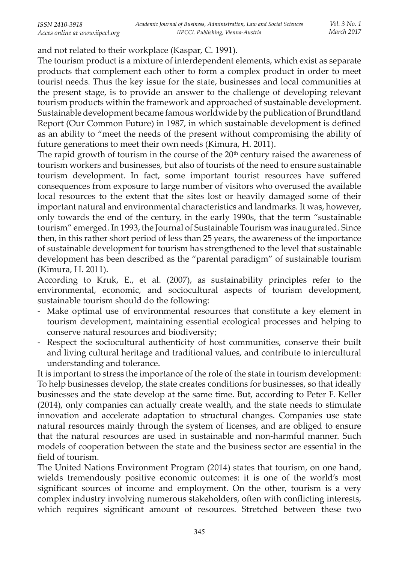and not related to their workplace (Kaspar, C. 1991).

The tourism product is a mixture of interdependent elements, which exist as separate products that complement each other to form a complex product in order to meet tourist needs. Thus the key issue for the state, businesses and local communities at the present stage, is to provide an answer to the challenge of developing relevant tourism products within the framework and approached of sustainable development. Sustainable development became famous worldwide by the publication of Brundtland Report (Our Common Future) in 1987, in which sustainable development is defined as an ability to "meet the needs of the present without compromising the ability of future generations to meet their own needs (Kimura, H. 2011).

The rapid growth of tourism in the course of the  $20<sup>th</sup>$  century raised the awareness of tourism workers and businesses, but also of tourists of the need to ensure sustainable tourism development. In fact, some important tourist resources have suffered consequences from exposure to large number of visitors who overused the available local resources to the extent that the sites lost or heavily damaged some of their important natural and environmental characteristics and landmarks. It was, however, only towards the end of the century, in the early 1990s, that the term "sustainable tourism" emerged. In 1993, the Journal of Sustainable Tourism was inaugurated. Since then, in this rather short period of less than 25 years, the awareness of the importance of sustainable development for tourism has strengthened to the level that sustainable development has been described as the "parental paradigm" of sustainable tourism (Kimura, H. 2011).

 According to Kruk, E., et al. (2007), as sustainability principles refer to the environmental, economic, and sociocultural aspects of tourism development, sustainable tourism should do the following:

- Make optimal use of environmental resources that constitute a key element in tourism development, maintaining essential ecological processes and helping to conserve natural resources and biodiversity;
- Respect the sociocultural authenticity of host communities, conserve their built and living cultural heritage and traditional values, and contribute to intercultural understanding and tolerance.

It is important to stress the importance of the role of the state in tourism development: To help businesses develop, the state creates conditions for businesses, so that ideally businesses and the state develop at the same time. But, according to Peter F. Keller (2014), only companies can actually create wealth, and the state needs to stimulate innovation and accelerate adaptation to structural changes. Companies use state natural resources mainly through the system of licenses, and are obliged to ensure that the natural resources are used in sustainable and non-harmful manner. Such models of cooperation between the state and the business sector are essential in the field of tourism.

The United Nations Environment Program (2014) states that tourism, on one hand, wields tremendously positive economic outcomes: it is one of the world's most significant sources of income and employment. On the other, tourism is a very complex industry involving numerous stakeholders, often with conflicting interests, which requires significant amount of resources. Stretched between these two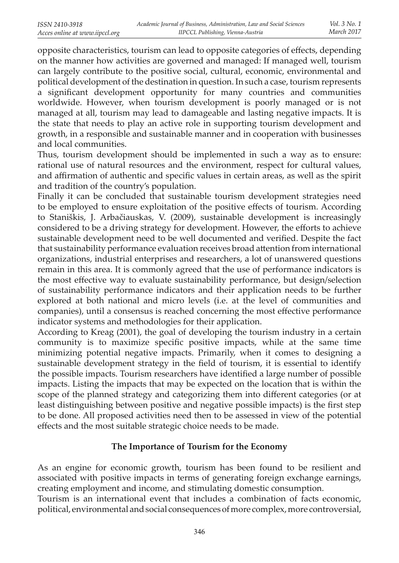opposite characteristics, tourism can lead to opposite categories of effects, depending on the manner how activities are governed and managed: If managed well, tourism can largely contribute to the positive social, cultural, economic, environmental and political development of the destination in question. In such a case, tourism represents a significant development opportunity for many countries and communities worldwide. However, when tourism development is poorly managed or is not managed at all, tourism may lead to damageable and lasting negative impacts. It is the state that needs to play an active role in supporting tourism development and growth, in a responsible and sustainable manner and in cooperation with businesses and local communities.

Thus, tourism development should be implemented in such a way as to ensure: rational use of natural resources and the environment, respect for cultural values, and affirmation of authentic and specific values in certain areas, as well as the spirit and tradition of the country's population.

Finally it can be concluded that sustainable tourism development strategies need to be employed to ensure exploitation of the positive effects of tourism. According to Staniškis, J. Arbačiauskas, V. (2009), sustainable development is increasingly considered to be a driving strategy for development. However, the efforts to achieve sustainable development need to be well documented and verified. Despite the fact that sustainability performance evaluation receives broad attention from international organizations, industrial enterprises and researchers, a lot of unanswered questions remain in this area. It is commonly agreed that the use of performance indicators is the most effective way to evaluate sustainability performance, but design/selection of sustainability performance indicators and their application needs to be further explored at both national and micro levels (i.e. at the level of communities and companies), until a consensus is reached concerning the most effective performance indicator systems and methodologies for their application.

According to Kreag (2001), the goal of developing the tourism industry in a certain community is to maximize specific positive impacts, while at the same time minimizing potential negative impacts. Primarily, when it comes to designing a sustainable development strategy in the field of tourism, it is essential to identify the possible impacts. Tourism researchers have identified a large number of possible impacts. Listing the impacts that may be expected on the location that is within the scope of the planned strategy and categorizing them into different categories (or at least distinguishing between positive and negative possible impacts) is the first step to be done. All proposed activities need then to be assessed in view of the potential effects and the most suitable strategic choice needs to be made.

## **The Importance of Tourism for the Economy**

As an engine for economic growth, tourism has been found to be resilient and associated with positive impacts in terms of generating foreign exchange earnings, creating employment and income, and stimulating domestic consumption.

Tourism is an international event that includes a combination of facts economic, political, environmental and social consequences of more complex, more controversial,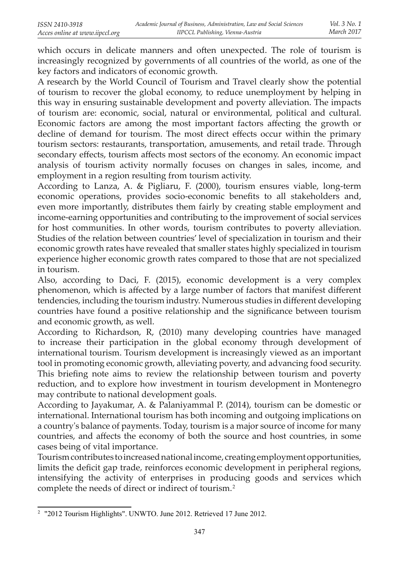which occurs in delicate manners and often unexpected. The role of tourism is increasingly recognized by governments of all countries of the world, as one of the key factors and indicators of economic growth.

A research by the World Council of Tourism and Travel clearly show the potential of tourism to recover the global economy, to reduce unemployment by helping in this way in ensuring sustainable development and poverty alleviation. The impacts of tourism are: economic, social, natural or environmental, political and cultural. Economic factors are among the most important factors affecting the growth or decline of demand for tourism. The most direct effects occur within the primary tourism sectors: restaurants, transportation, amusements, and retail trade. Through secondary effects, tourism affects most sectors of the economy. An economic impact analysis of tourism activity normally focuses on changes in sales, income, and employment in a region resulting from tourism activity.

According to Lanza, A. & Pigliaru, F. (2000), tourism ensures viable, long-term economic operations, provides socio-economic benefits to all stakeholders and, even more importantly, distributes them fairly by creating stable employment and income-earning opportunities and contributing to the improvement of social services for host communities. In other words, tourism contributes to poverty alleviation. Studies of the relation between countries' level of specialization in tourism and their economic growth rates have revealed that smaller states highly specialized in tourism experience higher economic growth rates compared to those that are not specialized in tourism.

Also, according to Daci, F. (2015), economic development is a very complex phenomenon, which is affected by a large number of factors that manifest different tendencies, including the tourism industry. Numerous studies in different developing countries have found a positive relationship and the significance between tourism and economic growth, as well.

According to Richardson, R, (2010) many developing countries have managed to increase their participation in the global economy through development of international tourism. Tourism development is increasingly viewed as an important tool in promoting economic growth, alleviating poverty, and advancing food security. This briefing note aims to review the relationship between tourism and poverty reduction, and to explore how investment in tourism development in Montenegro may contribute to national development goals.

According to Jayakumar, A. & Palaniyammal P. (2014), tourism can be domestic or international. International tourism has both incoming and outgoing implications on a country's balance of payments. Today, tourism is a major source of income for many countries, and affects the economy of both the source and host countries, in some cases being of vital importance.

Tourism contributes to increased national income, creating employment opportunities, limits the deficit gap trade, reinforces economic development in peripheral regions, intensifying the activity of enterprises in producing goods and services which complete the needs of direct or indirect of tourism.<sup>2</sup>

<sup>2</sup> "2012 Tourism Highlights". UNWTO. June 2012. Retrieved 17 June 2012.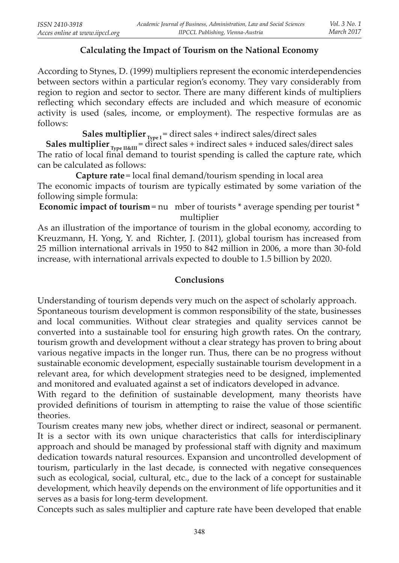## **Calculating the Impact of Tourism on the National Economy**

According to Stynes, D. (1999) multipliers represent the economic interdependencies between sectors within a particular region's economy. They vary considerably from region to region and sector to sector. There are many different kinds of multipliers reflecting which secondary effects are included and which measure of economic activity is used (sales, income, or employment). The respective formulas are as follows:

**Sales multiplier**  $_{\text{Type I}}$  = direct sales + indirect sales/direct sales Sales multiplier  $T_{\text{YPE}}$   $T_{\text{SHE}}$  = direct sales + indirect sales + induced sales/direct sales The ratio of local final demand to tourist spending is called the capture rate, which can be calculated as follows:

**Capture rate** = local fi nal demand/tourism spending in local area The economic impacts of tourism are typically estimated by some variation of the following simple formula:

**Economic impact of tourism** = nu mber of tourists \* average spending per tourist \* multiplier

 As an illustration of the importance of tourism in the global economy, according to Kreuzmann, H. Yong, Y. and Richter, J. (2011), global tourism has increased from 25 million international arrivals in 1950 to 842 million in 2006, a more than 30-fold increase, with international arrivals expected to double to 1.5 billion by 2020.

## **Conclusions**

Understanding of tourism depends very much on the aspect of scholarly approach. Spontaneous tourism development is common responsibility of the state, businesses and local communities. Without clear strategies and quality services cannot be converted into a sustainable tool for ensuring high growth rates. On the contrary, tourism growth and development without a clear strategy has proven to bring about various negative impacts in the longer run. Thus, there can be no progress without sustainable economic development, especially sustainable tourism development in a relevant area, for which development strategies need to be designed, implemented and monitored and evaluated against a set of indicators developed in advance.

With regard to the definition of sustainable development, many theorists have provided definitions of tourism in attempting to raise the value of those scientific theories.

Tourism creates many new jobs, whether direct or indirect, seasonal or permanent. It is a sector with its own unique characteristics that calls for interdisciplinary approach and should be managed by professional staff with dignity and maximum dedication towards natural resources. Expansion and uncontrolled development of tourism, particularly in the last decade, is connected with negative consequences such as ecological, social, cultural, etc., due to the lack of a concept for sustainable development, which heavily depends on the environment of life opportunities and it serves as a basis for long-term development.

Concepts such as sales multiplier and capture rate have been developed that enable